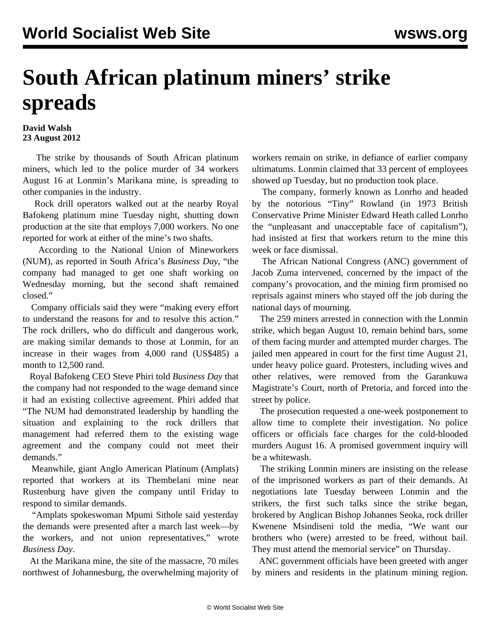## **South African platinum miners' strike spreads**

## **David Walsh 23 August 2012**

 The strike by thousands of South African platinum miners, which led to the police murder of 34 workers August 16 at Lonmin's Marikana mine, is spreading to other companies in the industry.

 Rock drill operators walked out at the nearby Royal Bafokeng platinum mine Tuesday night, shutting down production at the site that employs 7,000 workers. No one reported for work at either of the mine's two shafts.

 According to the National Union of Mineworkers (NUM), as reported in South Africa's *Business Day*, "the company had managed to get one shaft working on Wednesday morning, but the second shaft remained closed."

 Company officials said they were "making every effort to understand the reasons for and to resolve this action." The rock drillers, who do difficult and dangerous work, are making similar demands to those at Lonmin, for an increase in their wages from 4,000 rand (US\$485) a month to 12,500 rand.

 Royal Bafokeng CEO Steve Phiri told *Business Day* that the company had not responded to the wage demand since it had an existing collective agreement. Phiri added that "The NUM had demonstrated leadership by handling the situation and explaining to the rock drillers that management had referred them to the existing wage agreement and the company could not meet their demands."

 Meanwhile, giant Anglo American Platinum (Amplats) reported that workers at its Thembelani mine near Rustenburg have given the company until Friday to respond to similar demands.

 "Amplats spokeswoman Mpumi Sithole said yesterday the demands were presented after a march last week—by the workers, and not union representatives," wrote *Business Day*.

 At the Marikana mine, the site of the massacre, 70 miles northwest of Johannesburg, the overwhelming majority of workers remain on strike, in defiance of earlier company ultimatums. Lonmin claimed that 33 percent of employees showed up Tuesday, but no production took place.

 The company, formerly known as Lonrho and headed by the notorious "Tiny" Rowland (in 1973 British Conservative Prime Minister Edward Heath called Lonrho the "unpleasant and unacceptable face of capitalism"), had insisted at first that workers return to the mine this week or face dismissal.

 The African National Congress (ANC) government of Jacob Zuma intervened, concerned by the impact of the company's provocation, and the mining firm promised no reprisals against miners who stayed off the job during the national days of mourning.

 The 259 miners arrested in connection with the Lonmin strike, which began August 10, remain behind bars, some of them facing murder and attempted murder charges. The jailed men appeared in court for the first time August 21, under heavy police guard. Protesters, including wives and other relatives, were removed from the Garankuwa Magistrate's Court, north of Pretoria, and forced into the street by police.

 The prosecution requested a one-week postponement to allow time to complete their investigation. No police officers or officials face charges for the cold-blooded murders August 16. A promised government inquiry will be a whitewash.

 The striking Lonmin miners are insisting on the release of the imprisoned workers as part of their demands. At negotiations late Tuesday between Lonmin and the strikers, the first such talks since the strike began, brokered by Anglican Bishop Johannes Seoka, rock driller Kwenene Msindiseni told the media, "We want our brothers who (were) arrested to be freed, without bail. They must attend the memorial service" on Thursday.

 ANC government officials have been greeted with anger by miners and residents in the platinum mining region.